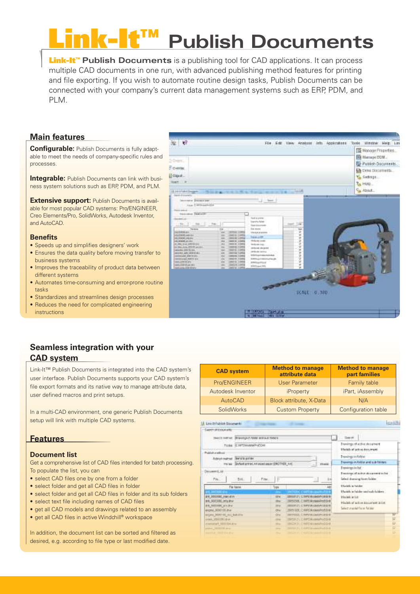# **Publish Documents**

Link-It™ **Publish Documents** is a publishing tool for CAD applications. It can process multiple CAD documents in one run, with advanced publishing method features for printing and file exporting. If you wish to automate routine design tasks, Publish Documents can be connected with your company's current data management systems such as ERP, PDM, and PLM.

## **Main features**

**Configurable:** Publish Documents is fully adaptable to meet the needs of company-specific rules and processes.

**Integrable:** Publish Documents can link with business system solutions such as ERP, PDM, and PLM.

**Extensive support:** Publish Documents is available for most popular CAD systems: Pro/ENGINEER, Creo Elements/Pro, SolidWorks, Autodesk Inventor, and AutoCAD.

## **Benefits**

- Speeds up and simplifies designers' work
- Ensures the data quality before moving transfer to business systems
- Improves the traceability of product data between different systems
- Automates time-consuming and error-prone routine tasks
- Standardizes and streamlines design processes
- Reduces the need for complicated engineering instructions



# **Seamless integration with your CAD system**

Link-It™ Publish Documents is integrated into the CAD system's user interface. Publish Documents supports your CAD system's file export formats and its native way to manage attribute data, user defined macros and print setups.

In a multi-CAD environment, one generic Publish Documents setup will link with multiple CAD systems.

## **Features**

## **Document list**

Get a comprehensive list of CAD files intended for batch processing. To populate the list, you can

- select CAD files one by one from a folder
- select folder and get all CAD files in folder
- select folder and get all CAD files in folder and its sub folders
- select text file including names of CAD files
- get all CAD models and drawings related to an assembly
- get all CAD files in active Windchill® workspace

In addition, the document list can be sorted and filtered as desired, e.g. according to file type or last modified date.

| <b>CAD system</b> | <b>Method to manage</b><br>attribute data | <b>Method to manage</b><br>part families |  |
|-------------------|-------------------------------------------|------------------------------------------|--|
| Pro/ENGINEER      | <b>User Parameter</b>                     | Family table                             |  |
| Autodesk Inventor | iProperty                                 | iPart, iAssembly                         |  |
| AutoCAD           | Block attribute, X-Data                   | N/A                                      |  |
| <b>SolidWorks</b> | <b>Custom Property</b>                    | Configuration table                      |  |
|                   |                                           |                                          |  |

|                                                                                                                         | teach netrat : Blavegain tater est aut-folio's |                                                         |                                                                                             | learnt.                                                                                           |  |
|-------------------------------------------------------------------------------------------------------------------------|------------------------------------------------|---------------------------------------------------------|---------------------------------------------------------------------------------------------|---------------------------------------------------------------------------------------------------|--|
|                                                                                                                         | Forke: (E1975Motes/Prof.Cen.                   | Format de Wolf a Trusteed<br>Meckly of active document: |                                                                                             |                                                                                                   |  |
| Publishingtonia<br><b>Bibrah mathed DINTERVIES</b><br>PE'SE BYTH EPPELAR EDITION (DECTION AN)<br><b>THEFT</b><br>$\sim$ |                                                |                                                         |                                                                                             | <b>Browlings to Rold at</b><br>Prenomes in Fold as and raids follows                              |  |
| Documenti, itd<br>PM.                                                                                                   | Pine.<br>- Belt.                               |                                                         | 14                                                                                          | Drawings in lot :<br>Executings of author diseasewed by list<br><b>Select dramang Food-Tolder</b> |  |
| Fie featur.<br>IN A 1993 399000 3991<br>#4.3000380, mlg drun<br>AR ROOTER AVIAV                                         |                                                | <b>Type</b>                                             | <b>Ulashka in Fatcher</b><br>$\overline{1}$<br>Maniels in Fability and sub-baldwe-          |                                                                                                   |  |
|                                                                                                                         |                                                | and i<br>20mm                                           | SERVICE CONTROLLATION<br>TRAINIE, C. HIPE Booker Prof Ord<br>INSIDE 21. C. IMPERIORANCE COM | Maylelc at Little<br>Madels of active document is list.                                           |  |
| eoping, BERFERLAND<br>engels determine is a building                                                                    |                                                | <b>ONLY</b><br><b>OH</b>                                | 20051006. C:AMS Accountration<br>INTERNATIONAL COMPUTATIONS PROPERTY                        | Select medal from ful aw<br>v                                                                     |  |
| over, 100090, e-<br>o'pristure 196004.ave<br>plane, 1003050 draw                                                        |                                                | 19 <sub>m</sub><br>2044<br><b>START</b>                 | 18050421.038958cdeb0hoft018<br>INGHILL CHRISTANOMING ON<br>ISBN 21 CAPTAINWINDS             | p                                                                                                 |  |
| easter Williams                                                                                                         |                                                | <b>COLLA</b>                                            | <b>HASA IN CHARGAGEMENTO B</b>                                                              |                                                                                                   |  |